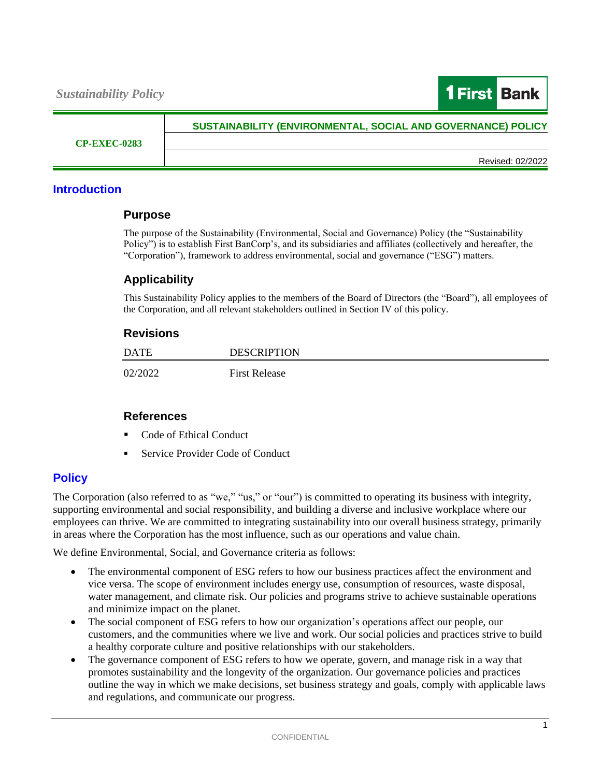

**CP-EXEC-0283**

# **SUSTAINABILITY (ENVIRONMENTAL, SOCIAL AND GOVERNANCE) POLICY**

Revised: 02/2022

### **Introduction**

#### **Purpose**

The purpose of the Sustainability (Environmental, Social and Governance) Policy (the "Sustainability Policy") is to establish First BanCorp's, and its subsidiaries and affiliates (collectively and hereafter, the "Corporation"), framework to address environmental, social and governance ("ESG") matters.

# **Applicability**

This Sustainability Policy applies to the members of the Board of Directors (the "Board"), all employees of the Corporation, and all relevant stakeholders outlined in Section IV of this policy.

#### **Revisions**

| DATE    | <b>DESCRIPTION</b>   |
|---------|----------------------|
| 02/2022 | <b>First Release</b> |

# **References**

- Code of Ethical Conduct
- Service Provider Code of Conduct

# **Policy**

The Corporation (also referred to as "we," "us," or "our") is committed to operating its business with integrity, supporting environmental and social responsibility, and building a diverse and inclusive workplace where our employees can thrive. We are committed to integrating sustainability into our overall business strategy, primarily in areas where the Corporation has the most influence, such as our operations and value chain.

We define Environmental, Social, and Governance criteria as follows:

- The environmental component of ESG refers to how our business practices affect the environment and vice versa. The scope of environment includes energy use, consumption of resources, waste disposal, water management, and climate risk. Our policies and programs strive to achieve sustainable operations and minimize impact on the planet.
- The social component of ESG refers to how our organization's operations affect our people, our customers, and the communities where we live and work. Our social policies and practices strive to build a healthy corporate culture and positive relationships with our stakeholders.
- The governance component of ESG refers to how we operate, govern, and manage risk in a way that promotes sustainability and the longevity of the organization. Our governance policies and practices outline the way in which we make decisions, set business strategy and goals, comply with applicable laws and regulations, and communicate our progress.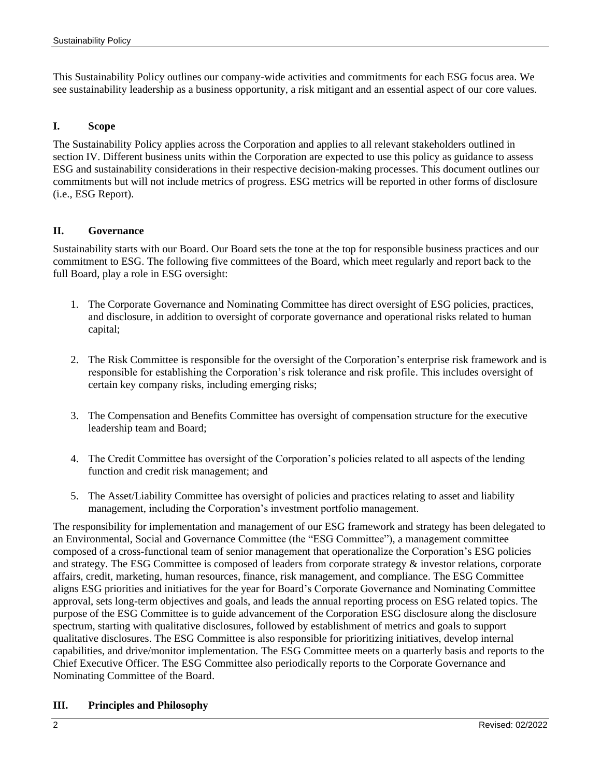This Sustainability Policy outlines our company-wide activities and commitments for each ESG focus area. We see sustainability leadership as a business opportunity, a risk mitigant and an essential aspect of our core values.

### **I. Scope**

The Sustainability Policy applies across the Corporation and applies to all relevant stakeholders outlined in section IV. Different business units within the Corporation are expected to use this policy as guidance to assess ESG and sustainability considerations in their respective decision-making processes. This document outlines our commitments but will not include metrics of progress. ESG metrics will be reported in other forms of disclosure (i.e., ESG Report).

#### **II. Governance**

Sustainability starts with our Board. Our Board sets the tone at the top for responsible business practices and our commitment to ESG. The following five committees of the Board, which meet regularly and report back to the full Board, play a role in ESG oversight:

- 1. The Corporate Governance and Nominating Committee has direct oversight of ESG policies, practices, and disclosure, in addition to oversight of corporate governance and operational risks related to human capital;
- 2. The Risk Committee is responsible for the oversight of the Corporation's enterprise risk framework and is responsible for establishing the Corporation's risk tolerance and risk profile. This includes oversight of certain key company risks, including emerging risks;
- 3. The Compensation and Benefits Committee has oversight of compensation structure for the executive leadership team and Board;
- 4. The Credit Committee has oversight of the Corporation's policies related to all aspects of the lending function and credit risk management; and
- 5. The Asset/Liability Committee has oversight of policies and practices relating to asset and liability management, including the Corporation's investment portfolio management.

The responsibility for implementation and management of our ESG framework and strategy has been delegated to an Environmental, Social and Governance Committee (the "ESG Committee"), a management committee composed of a cross-functional team of senior management that operationalize the Corporation's ESG policies and strategy. The ESG Committee is composed of leaders from corporate strategy & investor relations, corporate affairs, credit, marketing, human resources, finance, risk management, and compliance. The ESG Committee aligns ESG priorities and initiatives for the year for Board's Corporate Governance and Nominating Committee approval, sets long-term objectives and goals, and leads the annual reporting process on ESG related topics. The purpose of the ESG Committee is to guide advancement of the Corporation ESG disclosure along the disclosure spectrum, starting with qualitative disclosures, followed by establishment of metrics and goals to support qualitative disclosures. The ESG Committee is also responsible for prioritizing initiatives, develop internal capabilities, and drive/monitor implementation. The ESG Committee meets on a quarterly basis and reports to the Chief Executive Officer. The ESG Committee also periodically reports to the Corporate Governance and Nominating Committee of the Board.

#### **III. Principles and Philosophy**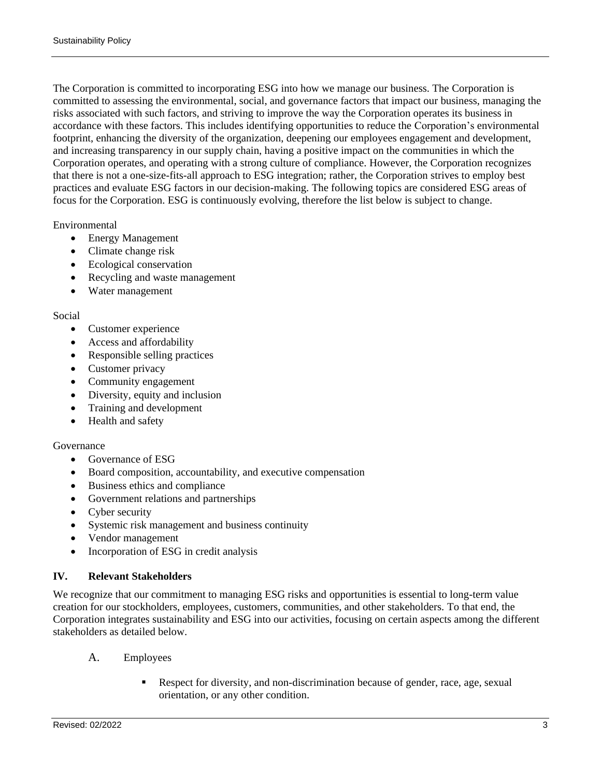The Corporation is committed to incorporating ESG into how we manage our business. The Corporation is committed to assessing the environmental, social, and governance factors that impact our business, managing the risks associated with such factors, and striving to improve the way the Corporation operates its business in accordance with these factors. This includes identifying opportunities to reduce the Corporation's environmental footprint, enhancing the diversity of the organization, deepening our employees engagement and development, and increasing transparency in our supply chain, having a positive impact on the communities in which the Corporation operates, and operating with a strong culture of compliance. However, the Corporation recognizes that there is not a one-size-fits-all approach to ESG integration; rather, the Corporation strives to employ best practices and evaluate ESG factors in our decision-making. The following topics are considered ESG areas of focus for the Corporation. ESG is continuously evolving, therefore the list below is subject to change.

### Environmental

- Energy Management
- Climate change risk
- Ecological conservation
- Recycling and waste management
- Water management

#### Social

- Customer experience
- Access and affordability
- Responsible selling practices
- Customer privacy
- Community engagement
- Diversity, equity and inclusion
- Training and development
- Health and safety

#### Governance

- Governance of ESG
- Board composition, accountability, and executive compensation
- Business ethics and compliance
- Government relations and partnerships
- Cyber security
- Systemic risk management and business continuity
- Vendor management
- Incorporation of ESG in credit analysis

# **IV. Relevant Stakeholders**

We recognize that our commitment to managing ESG risks and opportunities is essential to long-term value creation for our stockholders, employees, customers, communities, and other stakeholders. To that end, the Corporation integrates sustainability and ESG into our activities, focusing on certain aspects among the different stakeholders as detailed below.

- A. Employees
	- Respect for diversity, and non-discrimination because of gender, race, age, sexual orientation, or any other condition.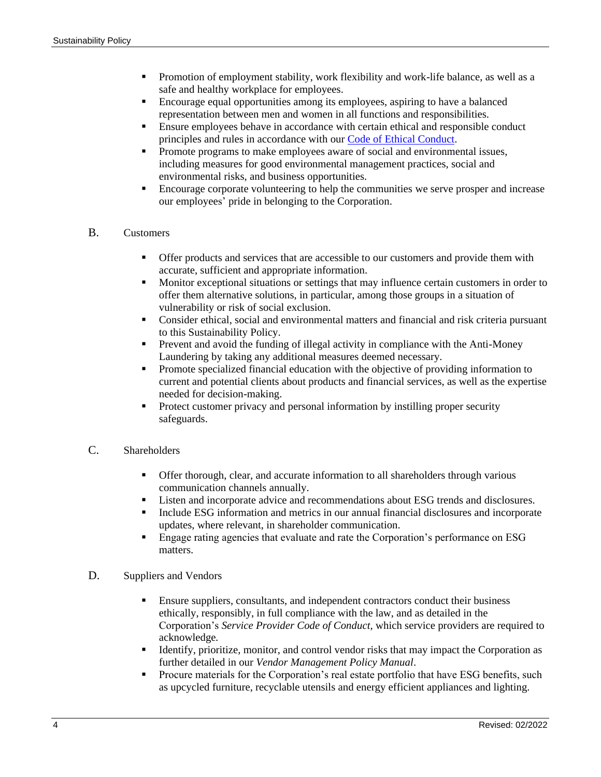- Promotion of employment stability, work flexibility and work-life balance, as well as a safe and healthy workplace for employees.
- Encourage equal opportunities among its employees, aspiring to have a balanced representation between men and women in all functions and responsibilities.
- **Ensure employees behave in accordance with certain ethical and responsible conduct** principles and rules in accordance with our [Code of Ethical Conduct.](https://s27.q4cdn.com/212915231/files/doc_governance/Code-of-Ethical-Conduct.pdf)
- Promote programs to make employees aware of social and environmental issues, including measures for good environmental management practices, social and environmental risks, and business opportunities.
- Encourage corporate volunteering to help the communities we serve prosper and increase our employees' pride in belonging to the Corporation.

# B. Customers

- **•** Offer products and services that are accessible to our customers and provide them with accurate, sufficient and appropriate information.
- Monitor exceptional situations or settings that may influence certain customers in order to offer them alternative solutions, in particular, among those groups in a situation of vulnerability or risk of social exclusion.
- Consider ethical, social and environmental matters and financial and risk criteria pursuant to this Sustainability Policy.
- **•** Prevent and avoid the funding of illegal activity in compliance with the Anti-Money Laundering by taking any additional measures deemed necessary.
- Promote specialized financial education with the objective of providing information to current and potential clients about products and financial services, as well as the expertise needed for decision-making.
- Protect customer privacy and personal information by instilling proper security safeguards.

### C. Shareholders

- **•** Offer thorough, clear, and accurate information to all shareholders through various communication channels annually.
- Listen and incorporate advice and recommendations about ESG trends and disclosures.
- **•** Include ESG information and metrics in our annual financial disclosures and incorporate updates, where relevant, in shareholder communication.
- **Engage rating agencies that evaluate and rate the Corporation's performance on ESG** matters.

#### D. Suppliers and Vendors

- **Ensure suppliers, consultants, and independent contractors conduct their business** ethically, responsibly, in full compliance with the law, and as detailed in the Corporation's *Service Provider Code of Conduct,* which service providers are required to acknowledge*.*
- Identify, prioritize, monitor, and control vendor risks that may impact the Corporation as further detailed in our *Vendor Management Policy Manual*.
- **•** Procure materials for the Corporation's real estate portfolio that have ESG benefits, such as upcycled furniture, recyclable utensils and energy efficient appliances and lighting.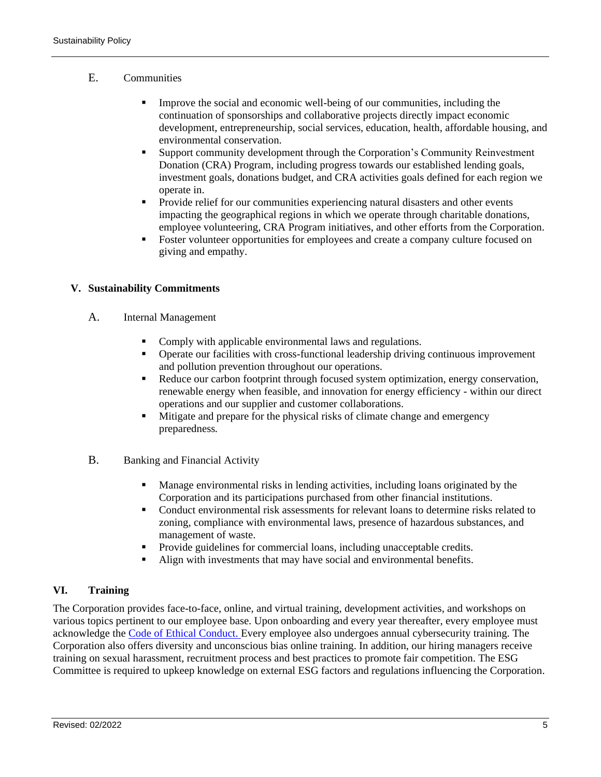# E. Communities

- **•** Improve the social and economic well-being of our communities, including the continuation of sponsorships and collaborative projects directly impact economic development, entrepreneurship, social services, education, health, affordable housing, and environmental conservation.
- Support community development through the Corporation's Community Reinvestment Donation (CRA) Program, including progress towards our established lending goals, investment goals, donations budget, and CRA activities goals defined for each region we operate in.
- Provide relief for our communities experiencing natural disasters and other events impacting the geographical regions in which we operate through charitable donations, employee volunteering, CRA Program initiatives, and other efforts from the Corporation.
- **•** Foster volunteer opportunities for employees and create a company culture focused on giving and empathy.

# **V. Sustainability Commitments**

- A. Internal Management
	- Comply with applicable environmental laws and regulations.
	- Operate our facilities with cross-functional leadership driving continuous improvement and pollution prevention throughout our operations.
	- Reduce our carbon footprint through focused system optimization, energy conservation, renewable energy when feasible, and innovation for energy efficiency - within our direct operations and our supplier and customer collaborations.
	- **EXECUTE:** Mitigate and prepare for the physical risks of climate change and emergency preparedness*.*
- B. Banking and Financial Activity
	- Manage environmental risks in lending activities, including loans originated by the Corporation and its participations purchased from other financial institutions.
	- **•** Conduct environmental risk assessments for relevant loans to determine risks related to zoning, compliance with environmental laws, presence of hazardous substances, and management of waste.
	- Provide guidelines for commercial loans, including unacceptable credits.
	- Align with investments that may have social and environmental benefits.

# **VI. Training**

The Corporation provides face-to-face, online, and virtual training, development activities, and workshops on various topics pertinent to our employee base. Upon onboarding and every year thereafter, every employee must acknowledge the [Code of Ethical Conduct.](https://s27.q4cdn.com/212915231/files/doc_governance/Code-of-Ethical-Conduct.pdf) Every employee also undergoes annual cybersecurity training. The Corporation also offers diversity and unconscious bias online training. In addition, our hiring managers receive training on sexual harassment, recruitment process and best practices to promote fair competition. The ESG Committee is required to upkeep knowledge on external ESG factors and regulations influencing the Corporation.